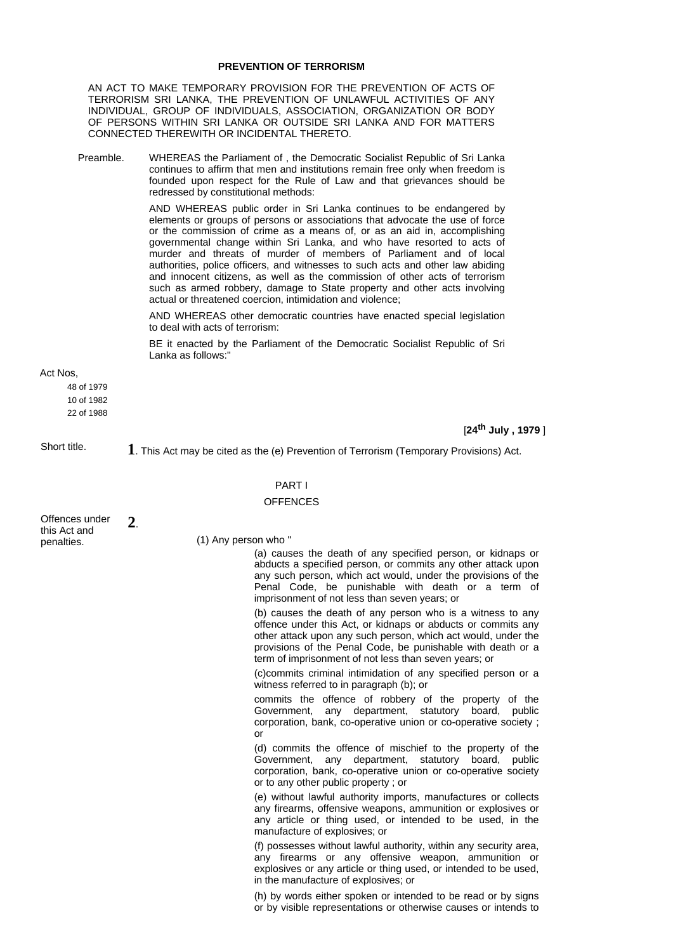## **PREVENTION OF TERRORISM**

AN ACT TO MAKE TEMPORARY PROVISION FOR THE PREVENTION OF ACTS OF TERRORISM SRI LANKA, THE PREVENTION OF UNLAWFUL ACTIVITIES OF ANY INDIVIDUAL, GROUP OF INDIVIDUALS, ASSOCIATION, ORGANIZATION OR BODY OF PERSONS WITHIN SRI LANKA OR OUTSIDE SRI LANKA AND FOR MATTERS CONNECTED THEREWITH OR INCIDENTAL THERETO.

Preamble. WHEREAS the Parliament of , the Democratic Socialist Republic of Sri Lanka continues to affirm that men and institutions remain free only when freedom is founded upon respect for the Rule of Law and that grievances should be redressed by constitutional methods:

> AND WHEREAS public order in Sri Lanka continues to be endangered by elements or groups of persons or associations that advocate the use of force or the commission of crime as a means of, or as an aid in, accomplishing governmental change within Sri Lanka, and who have resorted to acts of murder and threats of murder of members of Parliament and of local authorities, police officers, and witnesses to such acts and other law abiding and innocent citizens, as well as the commission of other acts of terrorism such as armed robbery, damage to State property and other acts involving actual or threatened coercion, intimidation and violence;

> AND WHEREAS other democratic countries have enacted special legislation to deal with acts of terrorism:

> BE it enacted by the Parliament of the Democratic Socialist Republic of Sri Lanka as follows:

Act Nos,

48 of 1979

10 of 1982

22 of 1988

[**24th July , 1979** ]

Short title. **1**. This Act may be cited as the (e) Prevention of Terrorism (Temporary Provisions) Act.

## PART I

## **OFFENCES**

Offences under this Act and penalties. **2**.

### (1) Any person who "

(a) causes the death of any specified person, or kidnaps or abducts a specified person, or commits any other attack upon any such person, which act would, under the provisions of the Penal Code, be punishable with death or a term of imprisonment of not less than seven years; or

(b) causes the death of any person who is a witness to any offence under this Act, or kidnaps or abducts or commits any other attack upon any such person, which act would, under the provisions of the Penal Code, be punishable with death or a term of imprisonment of not less than seven years; or

(c)commits criminal intimidation of any specified person or a witness referred to in paragraph (b); or

commits the offence of robbery of the property of the Government, any department, statutory board, public corporation, bank, co-operative union or co-operative society ; or

(d) commits the offence of mischief to the property of the Government, any department, statutory board, public corporation, bank, co-operative union or co-operative society or to any other public property ; or

(e) without lawful authority imports, manufactures or collects any firearms, offensive weapons, ammunition or explosives or any article or thing used, or intended to be used, in the manufacture of explosives; or

(f) possesses without lawful authority, within any security area, any firearms or any offensive weapon, ammunition or explosives or any article or thing used, or intended to be used, in the manufacture of explosives; or

(h) by words either spoken or intended to be read or by signs or by visible representations or otherwise causes or intends to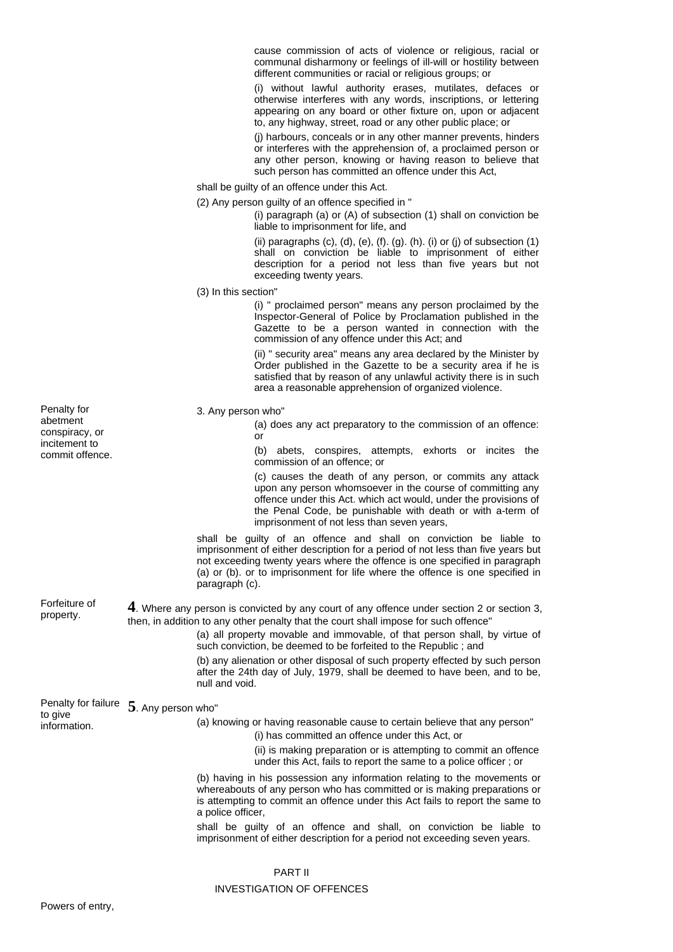cause commission of acts of violence or religious, racial or communal disharmony or feelings of ill-will or hostility between different communities or racial or religious groups; or

(i) without lawful authority erases, mutilates, defaces or otherwise interferes with any words, inscriptions, or lettering appearing on any board or other fixture on, upon or adjacent to, any highway, street, road or any other public place; or

(j) harbours, conceals or in any other manner prevents, hinders or interferes with the apprehension of, a proclaimed person or any other person, knowing or having reason to believe that such person has committed an offence under this Act,

shall be guilty of an offence under this Act.

(2) Any person guilty of an offence specified in "

(i) paragraph (a) or (A) of subsection (1) shall on conviction be liable to imprisonment for life, and

(ii) paragraphs  $(c)$ ,  $(d)$ ,  $(e)$ ,  $(f)$ .  $(g)$ .  $(h)$ .  $(i)$  or  $(j)$  of subsection  $(1)$ shall on conviction be liable to imprisonment of either description for a period not less than five years but not exceeding twenty years.

(3) In this section"

(i) " proclaimed person" means any person proclaimed by the Inspector-General of Police by Proclamation published in the Gazette to be a person wanted in connection with the commission of any offence under this Act; and

(ii) " security area" means any area declared by the Minister by Order published in the Gazette to be a security area if he is satisfied that by reason of any unlawful activity there is in such area a reasonable apprehension of organized violence.

### 3. Any person who"

(a) does any act preparatory to the commission of an offence: or

(b) abets, conspires, attempts, exhorts or incites the commission of an offence; or

(c) causes the death of any person, or commits any attack upon any person whomsoever in the course of committing any offence under this Act. which act would, under the provisions of the Penal Code, be punishable with death or with a-term of imprisonment of not less than seven years,

shall be guilty of an offence and shall on conviction be liable to imprisonment of either description for a period of not less than five years but not exceeding twenty years where the offence is one specified in paragraph (a) or (b). or to imprisonment for life where the offence is one specified in paragraph (c).

Forfeiture of property. **4**. Where any person is convicted by any court of any offence under section 2 or section 3, then, in addition to any other penalty that the court shall impose for such offence"

> (a) all property movable and immovable, of that person shall, by virtue of such conviction, be deemed to be forfeited to the Republic ; and

> (b) any alienation or other disposal of such property effected by such person after the 24th day of July, 1979, shall be deemed to have been, and to be, null and void.

Penalty for failure **5**. Any person who" to give

information.

(a) knowing or having reasonable cause to certain believe that any person"

- (i) has committed an offence under this Act, or
- (ii) is making preparation or is attempting to commit an offence under this Act, fails to report the same to a police officer ; or

(b) having in his possession any information relating to the movements or whereabouts of any person who has committed or is making preparations or is attempting to commit an offence under this Act fails to report the same to a police officer,

shall be guilty of an offence and shall, on conviction be liable to imprisonment of either description for a period not exceeding seven years.

#### PART II

### INVESTIGATION OF OFFENCES

Penalty for abetment conspiracy, or incitement to commit offence.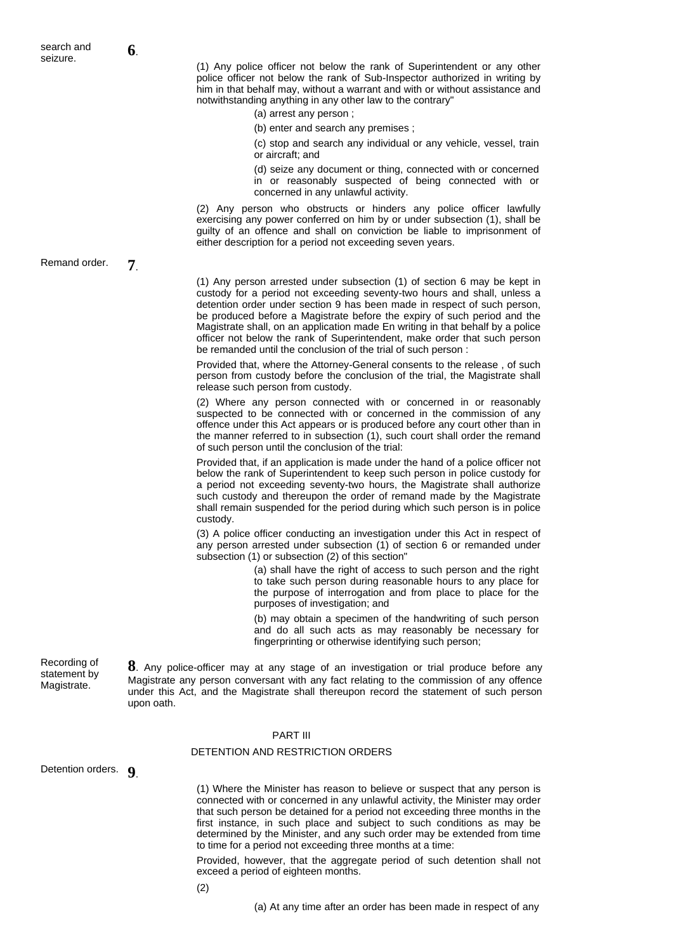(1) Any police officer not below the rank of Superintendent or any other police officer not below the rank of Sub-Inspector authorized in writing by him in that behalf may, without a warrant and with or without assistance and notwithstanding anything in any other law to the contrary"

(a) arrest any person ;

(b) enter and search any premises ;

(c) stop and search any individual or any vehicle, vessel, train or aircraft; and

(d) seize any document or thing, connected with or concerned in or reasonably suspected of being connected with or concerned in any unlawful activity.

(2) Any person who obstructs or hinders any police officer lawfully exercising any power conferred on him by or under subsection (1), shall be guilty of an offence and shall on conviction be liable to imprisonment of either description for a period not exceeding seven years.

Remand order. **7**.

(1) Any person arrested under subsection (1) of section 6 may be kept in custody for a period not exceeding seventy-two hours and shall, unless a detention order under section 9 has been made in respect of such person, be produced before a Magistrate before the expiry of such period and the Magistrate shall, on an application made En writing in that behalf by a police officer not below the rank of Superintendent, make order that such person be remanded until the conclusion of the trial of such person :

Provided that, where the Attorney-General consents to the release , of such person from custody before the conclusion of the trial, the Magistrate shall release such person from custody.

(2) Where any person connected with or concerned in or reasonably suspected to be connected with or concerned in the commission of any offence under this Act appears or is produced before any court other than in the manner referred to in subsection (1), such court shall order the remand of such person until the conclusion of the trial:

Provided that, if an application is made under the hand of a police officer not below the rank of Superintendent to keep such person in police custody for a period not exceeding seventy-two hours, the Magistrate shall authorize such custody and thereupon the order of remand made by the Magistrate shall remain suspended for the period during which such person is in police custody.

(3) A police officer conducting an investigation under this Act in respect of any person arrested under subsection (1) of section 6 or remanded under subsection (1) or subsection (2) of this section"

> (a) shall have the right of access to such person and the right to take such person during reasonable hours to any place for the purpose of interrogation and from place to place for the purposes of investigation; and

> (b) may obtain a specimen of the handwriting of such person and do all such acts as may reasonably be necessary for fingerprinting or otherwise identifying such person;

Recording of statement by Magistrate.

**8**. Any police-officer may at any stage of an investigation or trial produce before any Magistrate any person conversant with any fact relating to the commission of any offence under this Act, and the Magistrate shall thereupon record the statement of such person upon oath.

### PART III

## DETENTION AND RESTRICTION ORDERS

Detention orders. **9**.

(1) Where the Minister has reason to believe or suspect that any person is connected with or concerned in any unlawful activity, the Minister may order that such person be detained for a period not exceeding three months in the first instance, in such place and subject to such conditions as may be determined by the Minister, and any such order may be extended from time to time for a period not exceeding three months at a time:

Provided, however, that the aggregate period of such detention shall not exceed a period of eighteen months.

(2)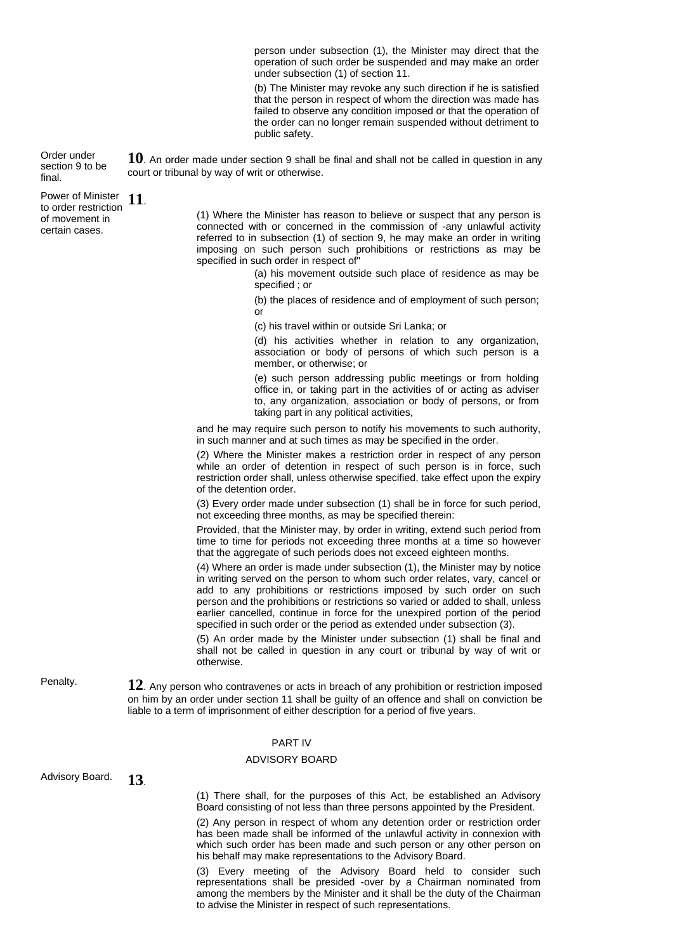person under subsection (1), the Minister may direct that the operation of such order be suspended and may make an order under subsection (1) of section 11.

(b) The Minister may revoke any such direction if he is satisfied that the person in respect of whom the direction was made has failed to observe any condition imposed or that the operation of the order can no longer remain suspended without detriment to public safety.

**10**. An order made under section 9 shall be final and shall not be called in question in any court or tribunal by way of writ or otherwise.

Order under section 9 to be final. Power of Minister

to order restriction of movement in certain cases. **11**.

(1) Where the Minister has reason to believe or suspect that any person is connected with or concerned in the commission of -any unlawful activity referred to in subsection (1) of section 9, he may make an order in writing imposing on such person such prohibitions or restrictions as may be specified in such order in respect of"

> (a) his movement outside such place of residence as may be specified ; or

> (b) the places of residence and of employment of such person; or

(c) his travel within or outside Sri Lanka; or

(d) his activities whether in relation to any organization, association or body of persons of which such person is a member, or otherwise; or

(e) such person addressing public meetings or from holding office in, or taking part in the activities of or acting as adviser to, any organization, association or body of persons, or from taking part in any political activities,

and he may require such person to notify his movements to such authority, in such manner and at such times as may be specified in the order.

(2) Where the Minister makes a restriction order in respect of any person while an order of detention in respect of such person is in force, such restriction order shall, unless otherwise specified, take effect upon the expiry of the detention order.

(3) Every order made under subsection (1) shall be in force for such period, not exceeding three months, as may be specified therein:

Provided, that the Minister may, by order in writing, extend such period from time to time for periods not exceeding three months at a time so however that the aggregate of such periods does not exceed eighteen months.

(4) Where an order is made under subsection (1), the Minister may by notice in writing served on the person to whom such order relates, vary, cancel or add to any prohibitions or restrictions imposed by such order on such person and the prohibitions or restrictions so varied or added to shall, unless earlier cancelled, continue in force for the unexpired portion of the period specified in such order or the period as extended under subsection (3).

(5) An order made by the Minister under subsection (1) shall be final and shall not be called in question in any court or tribunal by way of writ or otherwise.

Penalty. **12**. Any person who contravenes or acts in breach of any prohibition or restriction imposed on him by an order under section 11 shall be guilty of an offence and shall on conviction be liable to a term of imprisonment of either description for a period of five years.

# PART IV

## ADVISORY BOARD

Advisory Board. **13**.

(1) There shall, for the purposes of this Act, be established an Advisory Board consisting of not less than three persons appointed by the President.

(2) Any person in respect of whom any detention order or restriction order has been made shall be informed of the unlawful activity in connexion with which such order has been made and such person or any other person on his behalf may make representations to the Advisory Board.

(3) Every meeting of the Advisory Board held to consider such representations shall be presided -over by a Chairman nominated from among the members by the Minister and it shall be the duty of the Chairman to advise the Minister in respect of such representations.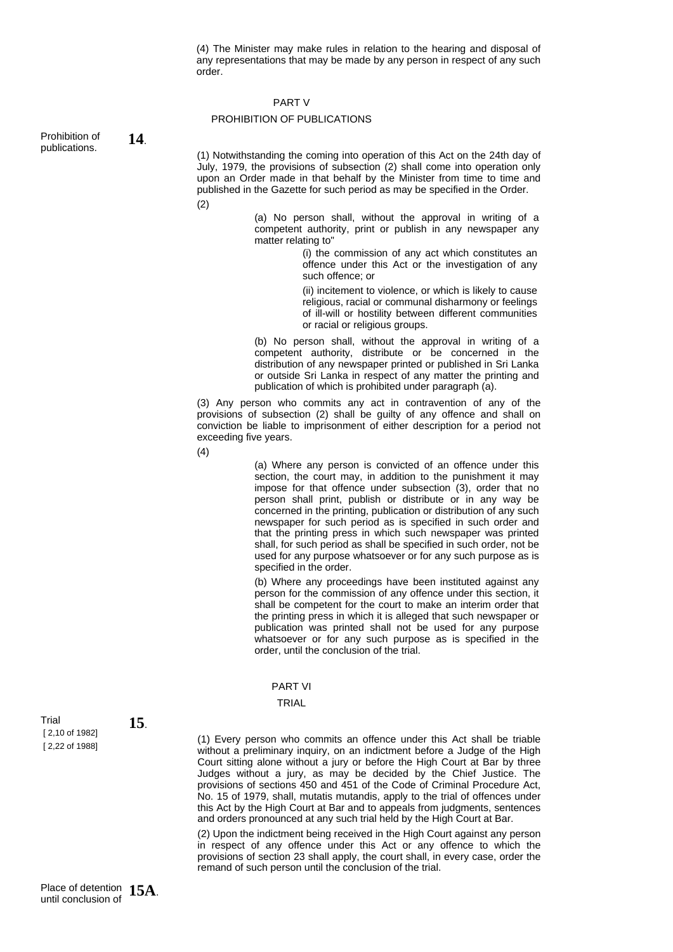(4) The Minister may make rules in relation to the hearing and disposal of any representations that may be made by any person in respect of any such order.

### PART V

## PROHIBITION OF PUBLICATIONS

Prohibition of Prohibition of **14**.

(1) Notwithstanding the coming into operation of this Act on the 24th day of July, 1979, the provisions of subsection (2) shall come into operation only upon an Order made in that behalf by the Minister from time to time and published in the Gazette for such period as may be specified in the Order.

(2)

(a) No person shall, without the approval in writing of a competent authority, print or publish in any newspaper any matter relating to"

> (i) the commission of any act which constitutes an offence under this Act or the investigation of any such offence; or

> (ii) incitement to violence, or which is likely to cause religious, racial or communal disharmony or feelings of ill-will or hostility between different communities or racial or religious groups.

(b) No person shall, without the approval in writing of a competent authority, distribute or be concerned in the distribution of any newspaper printed or published in Sri Lanka or outside Sri Lanka in respect of any matter the printing and publication of which is prohibited under paragraph (a).

(3) Any person who commits any act in contravention of any of the provisions of subsection (2) shall be guilty of any offence and shall on conviction be liable to imprisonment of either description for a period not exceeding five years.

(4)

(a) Where any person is convicted of an offence under this section, the court may, in addition to the punishment it may impose for that offence under subsection (3), order that no person shall print, publish or distribute or in any way be concerned in the printing, publication or distribution of any such newspaper for such period as is specified in such order and that the printing press in which such newspaper was printed shall, for such period as shall be specified in such order, not be used for any purpose whatsoever or for any such purpose as is specified in the order.

(b) Where any proceedings have been instituted against any person for the commission of any offence under this section, it shall be competent for the court to make an interim order that the printing press in which it is alleged that such newspaper or publication was printed shall not be used for any purpose whatsoever or for any such purpose as is specified in the order, until the conclusion of the trial.

PART VI

## TRIAL

Trial [ 2,10 of 1982] [ 2,22 of 1988]

**15**.

(1) Every person who commits an offence under this Act shall be triable without a preliminary inquiry, on an indictment before a Judge of the High Court sitting alone without a jury or before the High Court at Bar by three Judges without a jury, as may be decided by the Chief Justice. The provisions of sections 450 and 451 of the Code of Criminal Procedure Act, No. 15 of 1979, shall, mutatis mutandis, apply to the trial of offences under this Act by the High Court at Bar and to appeals from judgments, sentences and orders pronounced at any such trial held by the High Court at Bar.

(2) Upon the indictment being received in the High Court against any person in respect of any offence under this Act or any offence to which the provisions of section 23 shall apply, the court shall, in every case, order the remand of such person until the conclusion of the trial.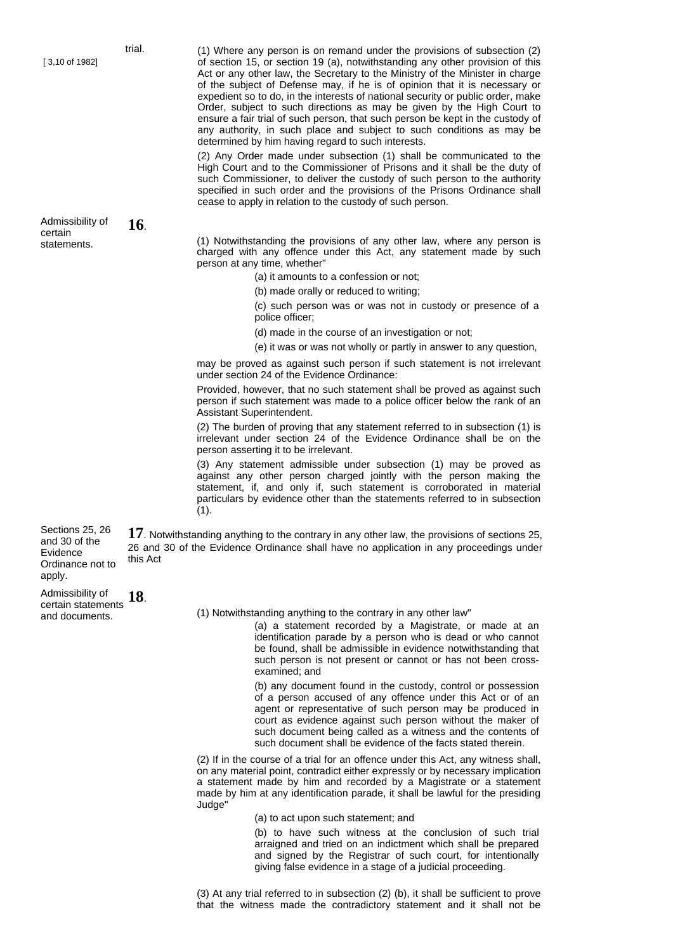Admissibility of certain statements.

**16**.

(1) Where any person is on remand under the provisions of subsection (2) of section 15, or section 19 (a), notwithstanding any other provision of this Act or any other law, the Secretary to the Ministry of the Minister in charge of the subject of Defense may, if he is of opinion that it is necessary or expedient so to do, in the interests of national security or public order, make Order, subject to such directions as may be given by the High Court to ensure a fair trial of such person, that such person be kept in the custody of any authority, in such place and subject to such conditions as may be determined by him having regard to such interests.

(2) Any Order made under subsection (1) shall be communicated to the High Court and to the Commissioner of Prisons and it shall be the duty of such Commissioner, to deliver the custody of such person to the authority specified in such order and the provisions of the Prisons Ordinance shall cease to apply in relation to the custody of such person.

(1) Notwithstanding the provisions of any other law, where any person is charged with any offence under this Act, any statement made by such person at any time, whether"

(a) it amounts to a confession or not;

(b) made orally or reduced to writing;

(c) such person was or was not in custody or presence of a police officer;

(d) made in the course of an investigation or not;

(e) it was or was not wholly or partly in answer to any question,

may be proved as against such person if such statement is not irrelevant under section 24 of the Evidence Ordinance:

Provided, however, that no such statement shall be proved as against such person if such statement was made to a police officer below the rank of an Assistant Superintendent.

(2) The burden of proving that any statement referred to in subsection (1) is irrelevant under section 24 of the Evidence Ordinance shall be on the person asserting it to be irrelevant.

(3) Any statement admissible under subsection (1) may be proved as against any other person charged jointly with the person making the statement, if, and only if, such statement is corroborated in material particulars by evidence other than the statements referred to in subsection (1).

17. Notwithstanding anything to the contrary in any other law, the provisions of sections 25, 26 and 30 of the Evidence Ordinance shall have no application in any proceedings under this Act

Admissibility of certain statements and documents. **18**.

Sections 25, 26 and 30 of the Evidence Ordinance not to

apply.

(1) Notwithstanding anything to the contrary in any other law"

(a) a statement recorded by a Magistrate, or made at an identification parade by a person who is dead or who cannot be found, shall be admissible in evidence notwithstanding that such person is not present or cannot or has not been crossexamined; and

(b) any document found in the custody, control or possession of a person accused of any offence under this Act or of an agent or representative of such person may be produced in court as evidence against such person without the maker of such document being called as a witness and the contents of such document shall be evidence of the facts stated therein.

(2) If in the course of a trial for an offence under this Act, any witness shall, on any material point, contradict either expressly or by necessary implication a statement made by him and recorded by a Magistrate or a statement made by him at any identification parade, it shall be lawful for the presiding Judge"

(a) to act upon such statement; and

(b) to have such witness at the conclusion of such trial arraigned and tried on an indictment which shall be prepared and signed by the Registrar of such court, for intentionally giving false evidence in a stage of a judicial proceeding.

(3) At any trial referred to in subsection (2) (b), it shall be sufficient to prove that the witness made the contradictory statement and it shall not be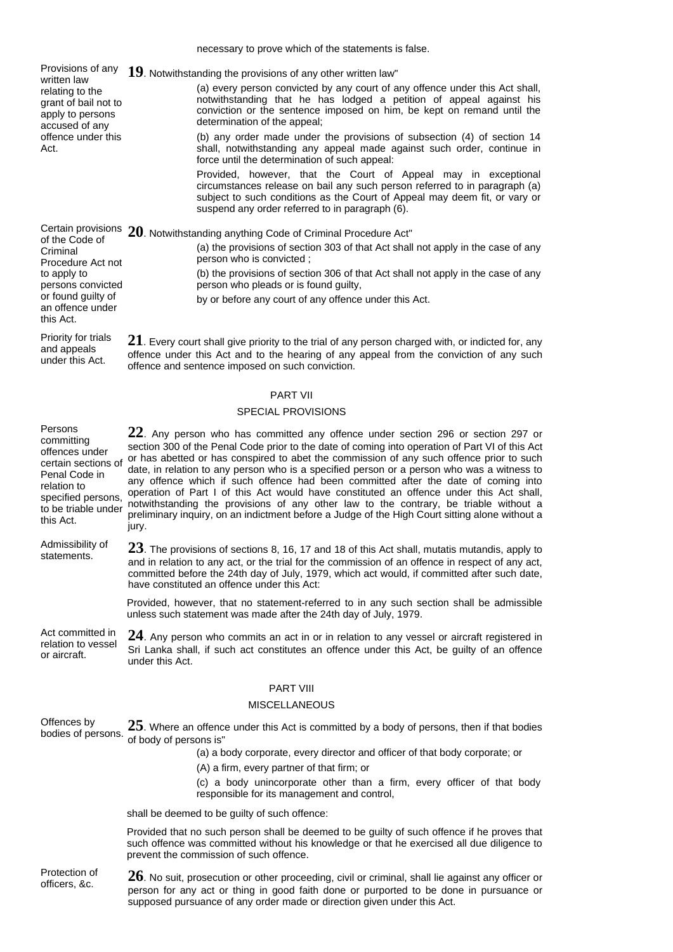Provisions of any **19**. Notwithstanding the provisions of any other written law" written law relating to the grant of bail not to apply to persons accused of any offence under this Act. (a) every person convicted by any court of any offence under this Act shall, notwithstanding that he has lodged a petition of appeal against his conviction or the sentence imposed on him, be kept on remand until the determination of the appeal; (b) any order made under the provisions of subsection (4) of section 14 shall, notwithstanding any appeal made against such order, continue in force until the determination of such appeal: Provided, however, that the Court of Appeal may in exceptional circumstances release on bail any such person referred to in paragraph (a) subject to such conditions as the Court of Appeal may deem fit, or vary or suspend any order referred to in paragraph (6). Certain provisions **20**. Notwithstanding anything Code of Criminal Procedure Act" of the Code of **Criminal** Procedure Act not to apply to persons convicted or found guilty of an offence under this Act. (a) the provisions of section 303 of that Act shall not apply in the case of any person who is convicted ; (b) the provisions of section 306 of that Act shall not apply in the case of any person who pleads or is found guilty, by or before any court of any offence under this Act. Priority for trials and appeals **21**. Every court shall give priority to the trial of any person charged with, or indicted for, any offence under this Act and to the hearing of any appeal from the conviction of any such

## PART VII

offence and sentence imposed on such conviction.

### SPECIAL PROVISIONS

| Persons<br>committing<br>offences under<br>certain sections of<br>Penal Code in<br>relation to<br>specified persons,<br>to be triable under<br>this Act. | $22$ . Any person who has committed any offence under section 296 or section 297 or<br>section 300 of the Penal Code prior to the date of coming into operation of Part VI of this Act<br>or has abetted or has conspired to abet the commission of any such offence prior to such<br>date, in relation to any person who is a specified person or a person who was a witness to<br>any offence which if such offence had been committed after the date of coming into<br>operation of Part I of this Act would have constituted an offence under this Act shall,<br>notwithstanding the provisions of any other law to the contrary, be triable without a<br>preliminary inquiry, on an indictment before a Judge of the High Court sitting alone without a<br>jury. |
|----------------------------------------------------------------------------------------------------------------------------------------------------------|-----------------------------------------------------------------------------------------------------------------------------------------------------------------------------------------------------------------------------------------------------------------------------------------------------------------------------------------------------------------------------------------------------------------------------------------------------------------------------------------------------------------------------------------------------------------------------------------------------------------------------------------------------------------------------------------------------------------------------------------------------------------------|
| Admissibility of<br>statements.                                                                                                                          | $23$ . The provisions of sections 8, 16, 17 and 18 of this Act shall, mutatis mutandis, apply to<br>and in relation to any act, or the trial for the commission of an offence in respect of any act,<br>committed before the 24th day of July, 1979, which act would, if committed after such date,<br>have constituted an offence under this Act:                                                                                                                                                                                                                                                                                                                                                                                                                    |
|                                                                                                                                                          | Provided, however, that no statement-referred to in any such section shall be admissible<br>unless such statement was made after the 24th day of July, 1979.                                                                                                                                                                                                                                                                                                                                                                                                                                                                                                                                                                                                          |
| Act committed in<br>relation to vessel<br>or aircraft.                                                                                                   | $24$ . Any person who commits an act in or in relation to any vessel or aircraft registered in<br>Sri Lanka shall, if such act constitutes an offence under this Act, be guilty of an offence<br>under this Act.                                                                                                                                                                                                                                                                                                                                                                                                                                                                                                                                                      |
|                                                                                                                                                          | <b>PART VIII</b>                                                                                                                                                                                                                                                                                                                                                                                                                                                                                                                                                                                                                                                                                                                                                      |
|                                                                                                                                                          | <b>MISCELLANEOUS</b>                                                                                                                                                                                                                                                                                                                                                                                                                                                                                                                                                                                                                                                                                                                                                  |
| Offences by<br>bodies of persons.                                                                                                                        | $25$ . Where an offence under this Act is committed by a body of persons, then if that bodies<br>of body of persons is"                                                                                                                                                                                                                                                                                                                                                                                                                                                                                                                                                                                                                                               |
|                                                                                                                                                          | (a) a body corporate, every director and officer of that body corporate; or                                                                                                                                                                                                                                                                                                                                                                                                                                                                                                                                                                                                                                                                                           |
|                                                                                                                                                          | (A) a firm, every partner of that firm; or                                                                                                                                                                                                                                                                                                                                                                                                                                                                                                                                                                                                                                                                                                                            |
|                                                                                                                                                          | (c) a body unincorporate other than a firm, every officer of that body<br>responsible for its management and control,                                                                                                                                                                                                                                                                                                                                                                                                                                                                                                                                                                                                                                                 |
|                                                                                                                                                          | shall be deemed to be guilty of such offence:                                                                                                                                                                                                                                                                                                                                                                                                                                                                                                                                                                                                                                                                                                                         |
|                                                                                                                                                          | Provided that no such person shall be deemed to be guilty of such offence if he proves that                                                                                                                                                                                                                                                                                                                                                                                                                                                                                                                                                                                                                                                                           |

such offence was committed without his knowledge or that he exercised all due diligence to prevent the commission of such offence.

Protection of

under this Act.

Persons

**Protection of** 26. No suit, prosecution or other proceeding, civil or criminal, shall lie against any officer or officers, &c. person for any act or thing in good faith done or purported to be done in pursuance or supposed pursuance of any order made or direction given under this Act.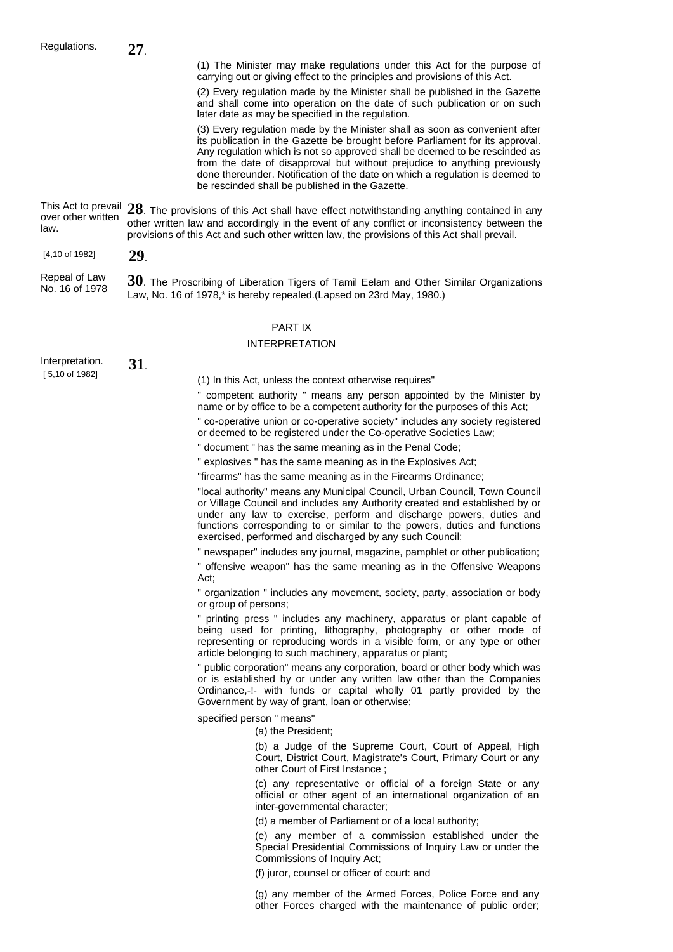(1) The Minister may make regulations under this Act for the purpose of carrying out or giving effect to the principles and provisions of this Act.

(2) Every regulation made by the Minister shall be published in the Gazette and shall come into operation on the date of such publication or on such later date as may be specified in the regulation.

(3) Every regulation made by the Minister shall as soon as convenient after its publication in the Gazette be brought before Parliament for its approval. Any regulation which is not so approved shall be deemed to be rescinded as from the date of disapproval but without prejudice to anything previously done thereunder. Notification of the date on which a regulation is deemed to be rescinded shall be published in the Gazette.

This Act to prevail **28**. The provisions of this Act shall have effect notwithstanding anything contained in any over other written law. other written law and accordingly in the event of any conflict or inconsistency between the provisions of this Act and such other written law, the provisions of this Act shall prevail.

[4,10 of 1982] **29**.

Repeal of Law Repeal of Law **30**. The Proscribing of Liberation Tigers of Tamil Eelam and Other Similar Organizations No. 16 of 1978 Law, No. 16 of 1978,\* is hereby repealed.(Lapsed on 23rd May, 1980.)

## PART IX

## INTERPRETATION

| Interpretation. | 31. |
|-----------------|-----|
| [5,10 of 1982]  |     |

(1) In this Act, unless the context otherwise requires"

competent authority " means any person appointed by the Minister by name or by office to be a competent authority for the purposes of this Act;

" co-operative union or co-operative society" includes any society registered or deemed to be registered under the Co-operative Societies Law;

" document " has the same meaning as in the Penal Code;

" explosives " has the same meaning as in the Explosives Act;

"firearms" has the same meaning as in the Firearms Ordinance;

"local authority" means any Municipal Council, Urban Council, Town Council or Village Council and includes any Authority created and established by or under any law to exercise, perform and discharge powers, duties and functions corresponding to or similar to the powers, duties and functions exercised, performed and discharged by any such Council;

" newspaper" includes any journal, magazine, pamphlet or other publication;

" offensive weapon" has the same meaning as in the Offensive Weapons Act;

" organization " includes any movement, society, party, association or body or group of persons;

" printing press " includes any machinery, apparatus or plant capable of being used for printing, lithography, photography or other mode of representing or reproducing words in a visible form, or any type or other article belonging to such machinery, apparatus or plant;

" public corporation" means any corporation, board or other body which was or is established by or under any written law other than the Companies Ordinance,-!- with funds or capital wholly 01 partly provided by the Government by way of grant, loan or otherwise;

specified person " means"

(a) the President;

(b) a Judge of the Supreme Court, Court of Appeal, High Court, District Court, Magistrate's Court, Primary Court or any other Court of First Instance ;

(c) any representative or official of a foreign State or any official or other agent of an international organization of an inter-governmental character;

(d) a member of Parliament or of a local authority;

(e) any member of a commission established under the Special Presidential Commissions of Inquiry Law or under the Commissions of Inquiry Act;

(f) juror, counsel or officer of court: and

(g) any member of the Armed Forces, Police Force and any other Forces charged with the maintenance of public order;